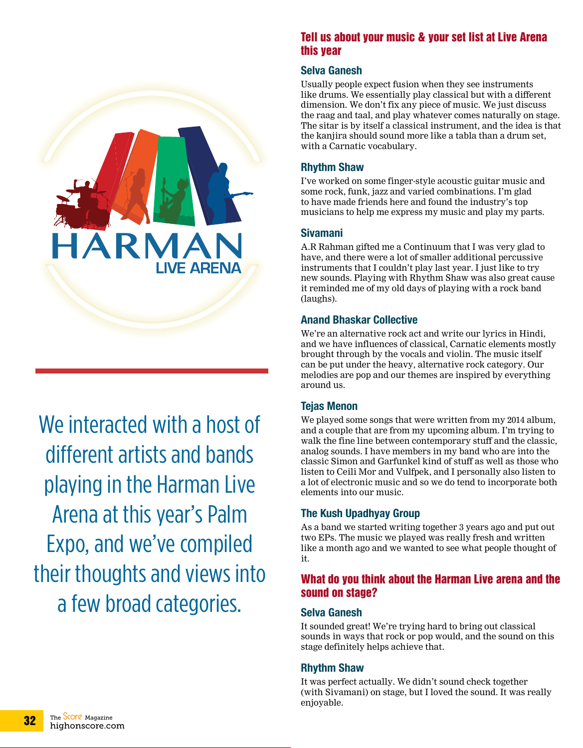

We interacted with a host of different artists and bands playing in the Harman Live Arena at this year's Palm Expo, and we've compiled their thoughts and views into a few broad categories.

#### Tell us about your music & your set list at Live Arena this year

#### **Selva Ganesh**

Usually people expect fusion when they see instruments like drums. We essentially play classical but with a different dimension. We don't fix any piece of music. We just discuss the raag and taal, and play whatever comes naturally on stage. The sitar is by itself a classical instrument, and the idea is that the kanjira should sound more like a tabla than a drum set, with a Carnatic vocabulary.

#### **Rhythm Shaw**

I've worked on some finger-style acoustic guitar music and some rock, funk, jazz and varied combinations. I'm glad to have made friends here and found the industry's top musicians to help me express my music and play my parts.

#### **Sivamani**

A.R Rahman gifted me a Continuum that I was very glad to have, and there were a lot of smaller additional percussive instruments that I couldn't play last year. I just like to try new sounds. Playing with Rhythm Shaw was also great cause it reminded me of my old days of playing with a rock band (laughs).

#### **Anand Bhaskar Collective**

We're an alternative rock act and write our lyrics in Hindi, and we have influences of classical, Carnatic elements mostly brought through by the vocals and violin. The music itself can be put under the heavy, alternative rock category. Our melodies are pop and our themes are inspired by everything around us.

#### **Tejas Menon**

We played some songs that were written from my 2014 album, and a couple that are from my upcoming album. I'm trying to walk the fine line between contemporary stuff and the classic, analog sounds. I have members in my band who are into the classic Simon and Garfunkel kind of stuff as well as those who listen to Ceili Mor and Vulfpek, and I personally also listen to a lot of electronic music and so we do tend to incorporate both elements into our music.

#### **The Kush Upadhyay Group**

As a band we started writing together 3 years ago and put out two EPs. The music we played was really fresh and written like a month ago and we wanted to see what people thought of it.

#### What do you think about the Harman Live arena and the sound on stage?

#### **Selva Ganesh**

It sounded great! We're trying hard to bring out classical sounds in ways that rock or pop would, and the sound on this stage definitely helps achieve that.

#### **Rhythm Shaw**

It was perfect actually. We didn't sound check together (with Sivamani) on stage, but I loved the sound. It was really enjoyable.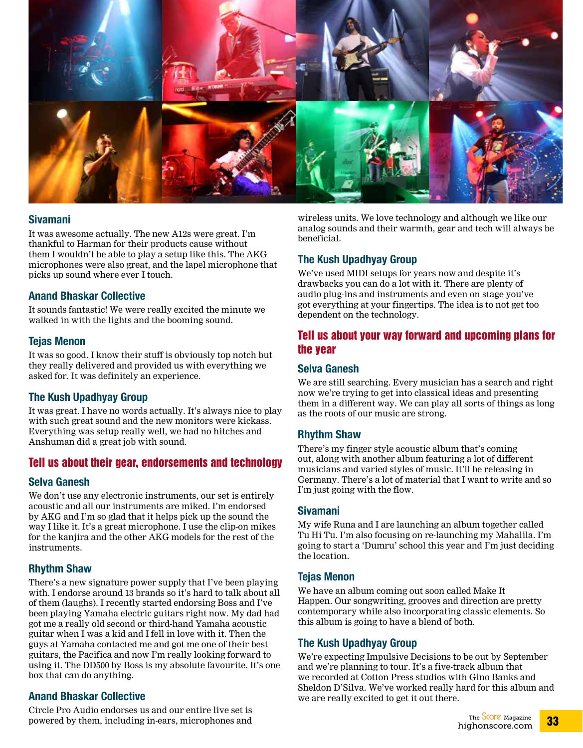

#### **Sivamani**

It was awesome actually. The new A12s were great. I'm thankful to Harman for their products cause without them I wouldn't be able to play a setup like this. The AKG microphones were also great, and the lapel microphone that picks up sound where ever I touch.

#### **Anand Bhaskar Collective**

It sounds fantastic! We were really excited the minute we walked in with the lights and the booming sound.

#### **Tejas Menon**

It was so good. I know their stuff is obviously top notch but they really delivered and provided us with everything we asked for. It was definitely an experience.

#### **The Kush Upadhyay Group**

It was great. I have no words actually. It's always nice to play with such great sound and the new monitors were kickass. Everything was setup really well, we had no hitches and Anshuman did a great job with sound.

#### Tell us about their gear, endorsements and technology

#### **Selva Ganesh**

We don't use any electronic instruments, our set is entirely acoustic and all our instruments are miked. I'm endorsed by AKG and I'm so glad that it helps pick up the sound the way I like it. It's a great microphone. I use the clip-on mikes for the kanjira and the other AKG models for the rest of the instruments.

#### **Rhythm Shaw**

There's a new signature power supply that I've been playing with. I endorse around 13 brands so it's hard to talk about all of them (laughs). I recently started endorsing Boss and I've been playing Yamaha electric guitars right now. My dad had got me a really old second or third-hand Yamaha acoustic guitar when I was a kid and I fell in love with it. Then the guys at Yamaha contacted me and got me one of their best guitars, the Pacifica and now I'm really looking forward to using it. The DD500 by Boss is my absolute favourite. It's one box that can do anything.

#### **Anand Bhaskar Collective**

Circle Pro Audio endorses us and our entire live set is powered by them, including in-ears, microphones and

wireless units. We love technology and although we like our analog sounds and their warmth, gear and tech will always be beneficial.

#### **The Kush Upadhyay Group**

We've used MIDI setups for years now and despite it's drawbacks you can do a lot with it. There are plenty of audio plug-ins and instruments and even on stage you've got everything at your fingertips. The idea is to not get too dependent on the technology.

#### Tell us about your way forward and upcoming plans for the year

#### **Selva Ganesh**

We are still searching. Every musician has a search and right now we're trying to get into classical ideas and presenting them in a different way. We can play all sorts of things as long as the roots of our music are strong.

#### **Rhythm Shaw**

There's my finger style acoustic album that's coming out, along with another album featuring a lot of different musicians and varied styles of music. It'll be releasing in Germany. There's a lot of material that I want to write and so I'm just going with the flow.

#### **Sivamani**

My wife Runa and I are launching an album together called Tu Hi Tu. I'm also focusing on re-launching my Mahalila. I'm going to start a 'Dumru' school this year and I'm just deciding the location.

#### **Tejas Menon**

We have an album coming out soon called Make It Happen. Our songwriting, grooves and direction are pretty contemporary while also incorporating classic elements. So this album is going to have a blend of both.

#### **The Kush Upadhyay Group**

We're expecting Impulsive Decisions to be out by September and we're planning to tour. It's a five-track album that we recorded at Cotton Press studios with Gino Banks and Sheldon D'Silva. We've worked really hard for this album and we are really excited to get it out there.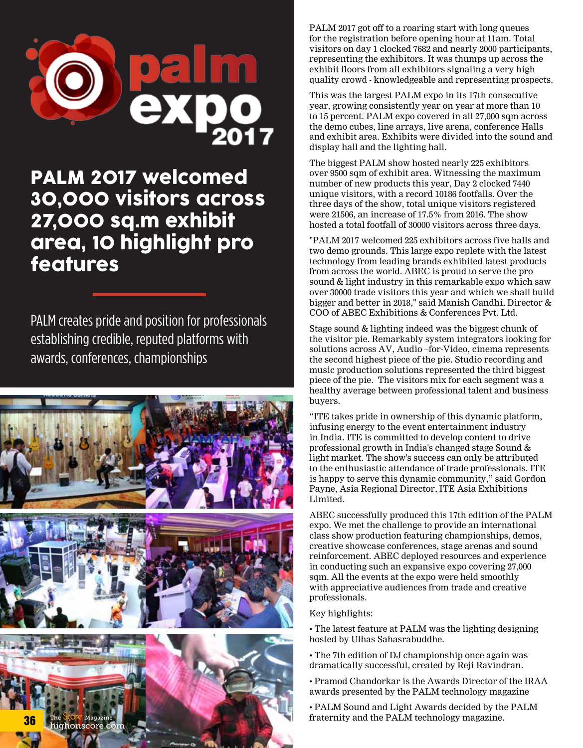

### PALM 2017 welcomed 30,000 visitors across 27,000 sq.m exhibit area, 10 highlight pro features

PALM creates pride and position for professionals establishing credible, reputed platforms with awards, conferences, championships



PALM 2017 got off to a roaring start with long queues for the registration before opening hour at 11am. Total visitors on day 1 clocked 7682 and nearly 2000 participants, representing the exhibitors. It was thumps up across the exhibit floors from all exhibitors signaling a very high quality crowd - knowledgeable and representing prospects.

This was the largest PALM expo in its 17th consecutive year, growing consistently year on year at more than 10 to 15 percent. PALM expo covered in all 27,000 sqm across the demo cubes, line arrays, live arena, conference Halls and exhibit area. Exhibits were divided into the sound and display hall and the lighting hall.

The biggest PALM show hosted nearly 225 exhibitors over 9500 sqm of exhibit area. Witnessing the maximum number of new products this year, Day 2 clocked 7440 unique visitors, with a record 10186 footfalls. Over the three days of the show, total unique visitors registered were 21506, an increase of 17.5% from 2016. The show hosted a total footfall of 30000 visitors across three days.

"PALM 2017 welcomed 225 exhibitors across five halls and two demo grounds. This large expo replete with the latest technology from leading brands exhibited latest products from across the world. ABEC is proud to serve the pro sound & light industry in this remarkable expo which saw over 30000 trade visitors this year and which we shall build bigger and better in 2018," said Manish Gandhi, Director & COO of ABEC Exhibitions & Conferences Pvt. Ltd.

Stage sound & lighting indeed was the biggest chunk of the visitor pie. Remarkably system integrators looking for solutions across AV, Audio –for-Video, cinema represents the second highest piece of the pie. Studio recording and music production solutions represented the third biggest piece of the pie. The visitors mix for each segment was a healthy average between professional talent and business buyers.

"ITE takes pride in ownership of this dynamic platform, infusing energy to the event entertainment industry in India. ITE is committed to develop content to drive professional growth in India's changed stage Sound & light market. The show's success can only be attributed to the enthusiastic attendance of trade professionals. ITE is happy to serve this dynamic community," said Gordon Payne, Asia Regional Director, ITE Asia Exhibitions Limited.

ABEC successfully produced this 17th edition of the PALM expo. We met the challenge to provide an international class show production featuring championships, demos, creative showcase conferences, stage arenas and sound reinforcement. ABEC deployed resources and experience in conducting such an expansive expo covering 27,000 sqm. All the events at the expo were held smoothly with appreciative audiences from trade and creative professionals.

Key highlights:

- The latest feature at PALM was the lighting designing hosted by Ulhas Sahasrabuddhe.
- The 7th edition of DJ championship once again was dramatically successful, created by Reji Ravindran.
- Pramod Chandorkar is the Awards Director of the IRAA awards presented by the PALM technology magazine
- PALM Sound and Light Awards decided by the PALM fraternity and the PALM technology magazine.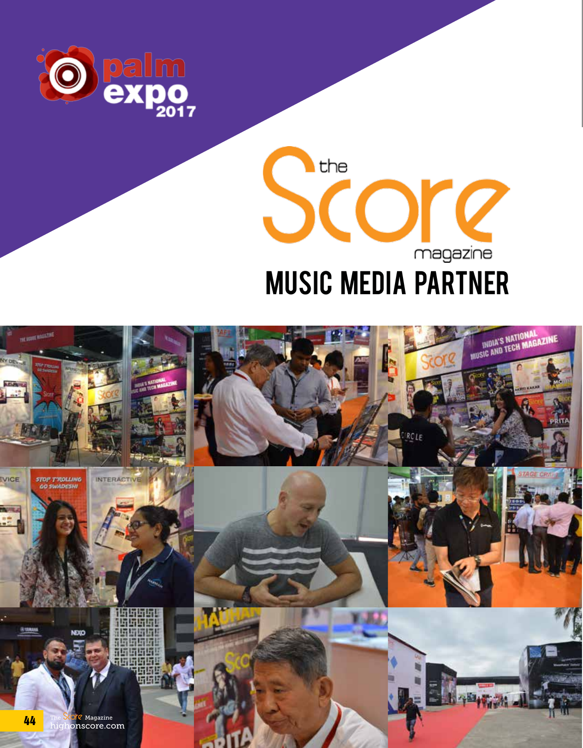

## the Score magazine MUSIC MEDIA PARTNER

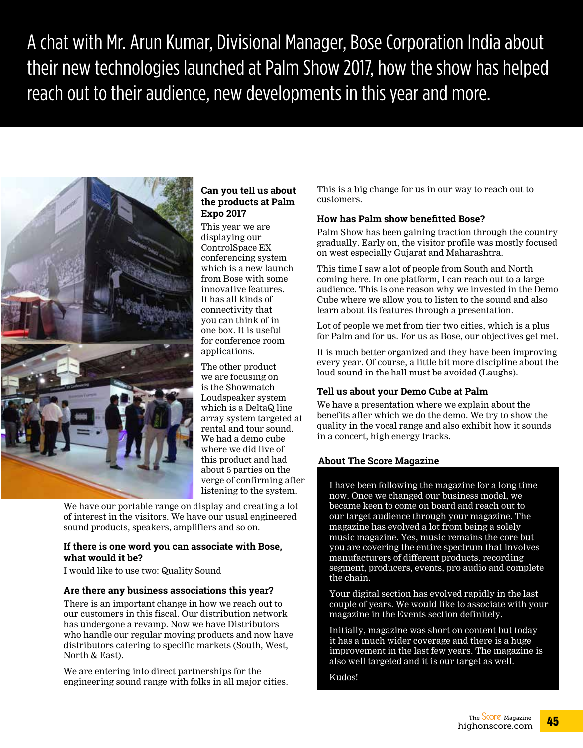A chat with Mr. Arun Kumar, Divisional Manager, Bose Corporation India about their new technologies launched at Palm Show 2017, how the show has helped reach out to their audience, new developments in this year and more.



#### **Can you tell us about the products at Palm Expo 2017**

This year we are displaying our ControlSpace EX conferencing system which is a new launch from Bose with some innovative features. It has all kinds of connectivity that you can think of in one box. It is useful for conference room applications.

The other product we are focusing on is the Showmatch Loudspeaker system which is a DeltaQ line array system targeted at rental and tour sound. We had a demo cube where we did live of this product and had about 5 parties on the verge of confirming after listening to the system.

We have our portable range on display and creating a lot of interest in the visitors. We have our usual engineered sound products, speakers, amplifiers and so on.

#### **If there is one word you can associate with Bose, what would it be?**

I would like to use two: Quality Sound

#### **Are there any business associations this year?**

There is an important change in how we reach out to our customers in this fiscal. Our distribution network has undergone a revamp. Now we have Distributors who handle our regular moving products and now have distributors catering to specific markets (South, West, North & East).

We are entering into direct partnerships for the engineering sound range with folks in all major cities. This is a big change for us in our way to reach out to customers.

#### **How has Palm show benefitted Bose?**

Palm Show has been gaining traction through the country gradually. Early on, the visitor profile was mostly focused on west especially Gujarat and Maharashtra.

This time I saw a lot of people from South and North coming here. In one platform, I can reach out to a large audience. This is one reason why we invested in the Demo Cube where we allow you to listen to the sound and also learn about its features through a presentation.

Lot of people we met from tier two cities, which is a plus for Palm and for us. For us as Bose, our objectives get met.

It is much better organized and they have been improving every year. Of course, a little bit more discipline about the loud sound in the hall must be avoided (Laughs).

#### **Tell us about your Demo Cube at Palm**

We have a presentation where we explain about the benefits after which we do the demo. We try to show the quality in the vocal range and also exhibit how it sounds in a concert, high energy tracks.

#### **About The Score Magazine**

I have been following the magazine for a long time now. Once we changed our business model, we became keen to come on board and reach out to our target audience through your magazine. The magazine has evolved a lot from being a solely music magazine. Yes, music remains the core but you are covering the entire spectrum that involves manufacturers of different products, recording segment, producers, events, pro audio and complete the chain.

Your digital section has evolved rapidly in the last couple of years. We would like to associate with your magazine in the Events section definitely.

Initially, magazine was short on content but today it has a much wider coverage and there is a huge improvement in the last few years. The magazine is also well targeted and it is our target as well.

Kudos!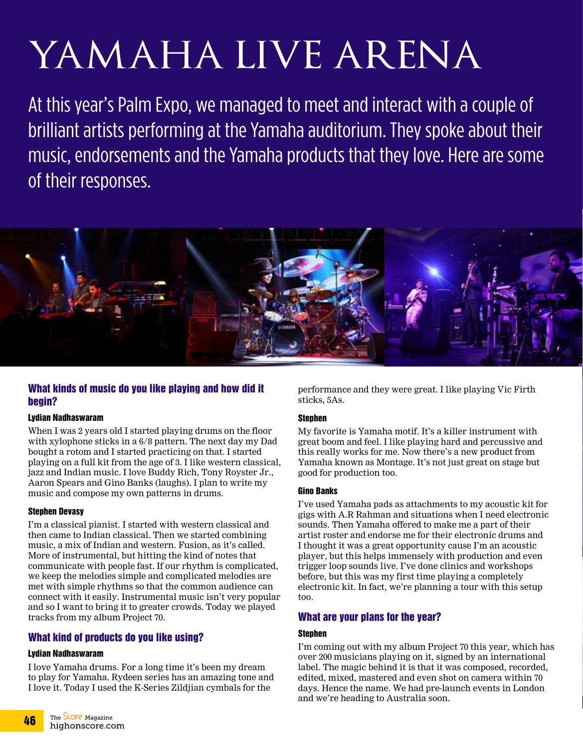# YAMAHA LIVE ARENA

At this year's Palm Expo, we managed to meet and interact with a couple of brilliant artists performing at the Yamaha auditorium. They spoke about their music, endorsements and the Yamaha products that they love. Here are some of their responses.



#### What kinds of music do you like playing and how did it begin?

#### Lydian Nadhaswaram

When I was 2 years old I started playing drums on the floor with xylophone sticks in a 6/8 pattern. The next day my Dad bought a rotom and I started practicing on that. I started playing on a full kit from the age of 3. I like western classical, jazz and Indian music. I love Buddy Rich, Tony Royster Jr., Aaron Spears and Gino Banks (laughs). I plan to write my music and compose my own patterns in drums.

#### Stephen Devasy

I'm a classical pianist. I started with western classical and then came to Indian classical. Then we started combining music, a mix of Indian and western. Fusion, as it's called. More of instrumental, but hitting the kind of notes that communicate with people fast. If our rhythm is complicated, we keep the melodies simple and complicated melodies are met with simple rhythms so that the common audience can connect with it easily. Instrumental music isn't very popular and so I want to bring it to greater crowds. Today we played tracks from my album Project 70.

#### What kind of products do you like using?

#### Lydian Nadhaswaram

I love Yamaha drums. For a long time it's been my dream to play for Yamaha. Rydeen series has an amazing tone and I love it. Today I used the K-Series Zildjian cymbals for the

performance and they were great. I like playing Vic Firth sticks, 5As.

#### **Stephen**

My favorite is Yamaha motif. It's a killer instrument with great boom and feel. I like playing hard and percussive and this really works for me. Now there's a new product from Yamaha known as Montage. It's not just great on stage but good for production too.

#### Gino Banks

I've used Yamaha pads as attachments to my acoustic kit for gigs with A.R Rahman and situations when I need electronic sounds. Then Yamaha offered to make me a part of their artist roster and endorse me for their electronic drums and I thought it was a great opportunity cause I'm an acoustic player, but this helps immensely with production and even trigger loop sounds live. I've done clinics and workshops before, but this was my first time playing a completely electronic kit. In fact, we're planning a tour with this setup too.

#### What are your plans for the year?

#### Stephen

I'm coming out with my album Project 70 this year, which has over 200 musicians playing on it, signed by an international label. The magic behind it is that it was composed, recorded, edited, mixed, mastered and even shot on camera within 70 days. Hence the name. We had pre-launch events in London and we're heading to Australia soon.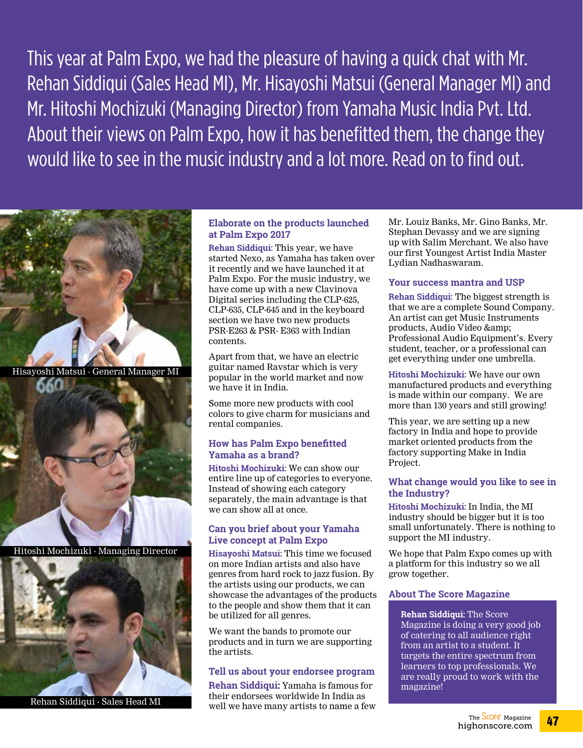This year at Palm Expo, we had the pleasure of having a quick chat with Mr. Rehan Siddiqui (Sales Head MI), Mr. Hisayoshi Matsui (General Manager MI) and Mr. Hitoshi Mochizuki (Managing Director) from Yamaha Music India Pvt. Ltd. About their views on Palm Expo, how it has benefitted them, the change they would like to see in the music industry and a lot more. Read on to find out.



Hitoshi Mochizuki - Managing Director



Rehan Siddiqui - Sales Head MI

#### **Elaborate on the products launched at Palm Expo 2017**

**Rehan Siddiqui:** This year, we have started Nexo, as Yamaha has taken over it recently and we have launched it at Palm Expo. For the music industry, we have come up with a new Clavinova Digital series including the CLP-625, CLP-635, CLP-645 and in the keyboard section we have two new products PSR-E263 & PSR- E363 with Indian contents.

Apart from that, we have an electric guitar named Ravstar which is very popular in the world market and now we have it in India.

Some more new products with cool colors to give charm for musicians and rental companies.

#### **How has Palm Expo benefitted Yamaha as a brand?**

**Hitoshi Mochizuki:** We can show our entire line up of categories to everyone. Instead of showing each category separately, the main advantage is that we can show all at once.

#### **Can you brief about your Yamaha Live concept at Palm Expo**

**Hisayoshi Matsui:** This time we focused on more Indian artists and also have genres from hard rock to jazz fusion. By the artists using our products, we can showcase the advantages of the products to the people and show them that it can be utilized for all genres.

We want the bands to promote our products and in turn we are supporting the artists.

#### **Tell us about your endorsee program**

**Rehan Siddiqui:** Yamaha is famous for their endorsees worldwide In India as well we have many artists to name a few Mr. Louiz Banks, Mr. Gino Banks, Mr. Stephan Devassy and we are signing up with Salim Merchant. We also have our first Youngest Artist India Master Lydian Nadhaswaram.

#### **Your success mantra and USP**

**Rehan Siddiqui:** The biggest strength is that we are a complete Sound Company. An artist can get Music Instruments products, Audio Video & Professional Audio Equipment's. Every student, teacher, or a professional can get everything under one umbrella.

**Hitoshi Mochizuki:** We have our own manufactured products and everything is made within our company. We are more than 130 years and still growing!

This year, we are setting up a new factory in India and hope to provide market oriented products from the factory supporting Make in India Project.

#### **What change would you like to see in the Industry?**

**Hitoshi Mochizuki:** In India, the MI industry should be bigger but it is too small unfortunately. There is nothing to support the MI industry.

We hope that Palm Expo comes up with a platform for this industry so we all grow together.

#### **About The Score Magazine**

**Rehan Siddiqui:** The Score Magazine is doing a very good job of catering to all audience right from an artist to a student. It targets the entire spectrum from learners to top professionals. We are really proud to work with the magazine!